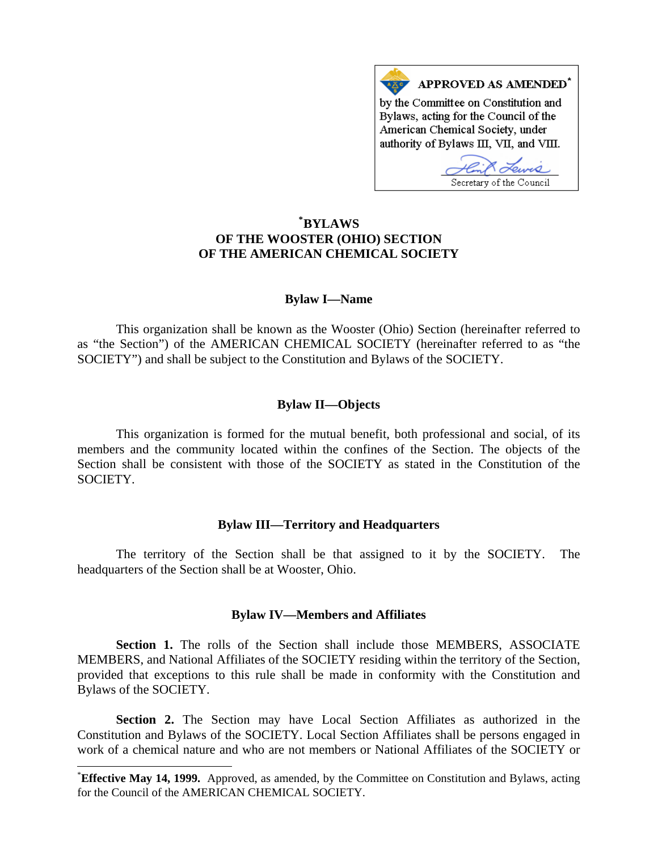

# **\* BYLAWS OF THE WOOSTER (OHIO) SECTION OF THE AMERICAN CHEMICAL SOCIETY**

### **Bylaw I—Name**

as "the Section") of the AMERICAN CHEMICAL SOCIETY (hereinafter referred to as "the SOCIETY") and shall be subject to the Constitution and Bylaws of the SOCIETY. This organization shall be known as the Wooster (Ohio) Section (hereinafter referred to

## **Bylaw II—Objects**

Section shall be consistent with those of the SOCIETY as stated in the Constitution of the SOCIETY. This organization is formed for the mutual benefit, both professional and social, of its members and the community located within the confines of the Section. The objects of the

### **Bylaw III—Territory and Headquarters**

The territory of the Section shall be that assigned to it by the SOCIETY. The headquarters of the Section shall be at Wooster, Ohio.

### **Bylaw IV—Members and Affiliates**

provided that exceptions to this rule shall be made in conformity with the Constitution and ylaws of the SOCIETY. B **Section 1.** The rolls of the Section shall include those MEMBERS, ASSOCIATE MEMBERS, and National Affiliates of the SOCIETY residing within the territory of the Section,

work of a chemical nature and who are not members or National Affiliates of the SOCIETY or  **Section 2.** The Section may have Local Section Affiliates as authorized in the Constitution and Bylaws of the SOCIETY. Local Section Affiliates shall be persons engaged in

 $\overline{\phantom{a}}$ 

<sup>\*</sup> **Effective May 14, 1999.** Approved, as amended, by the Committee on Constitution and Bylaws, acting for the Council of the AMERICAN CHEMICAL SOCIETY.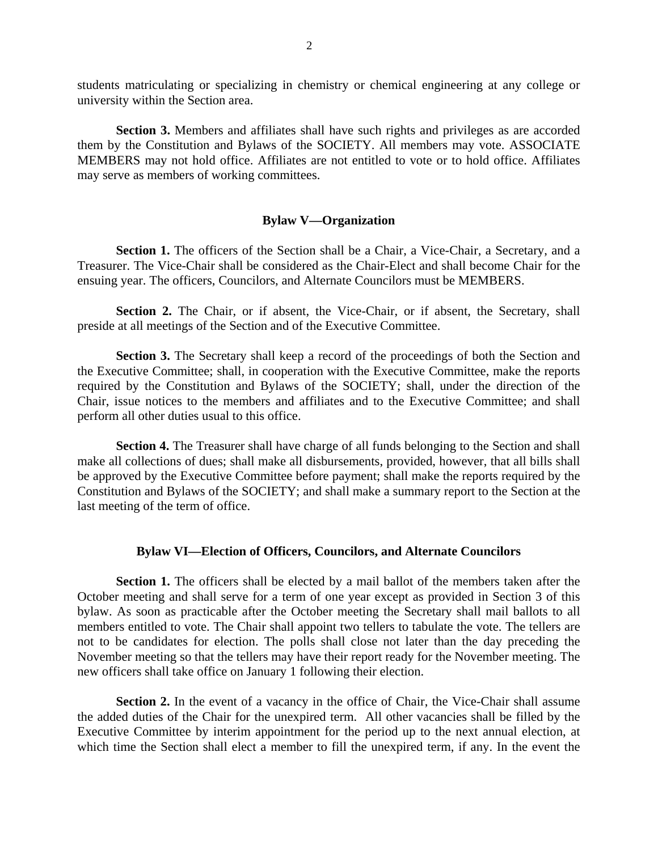students matriculating or specializing in chemistry or chemical engineering at any college or university within the Section area.

**Section 3.** Members and affiliates shall have such rights and privileges as are accorded them by the Constitution and Bylaws of the SOCIETY. All members may vote. ASSOCIATE MEMBERS may not hold office. Affiliates are not entitled to vote or to hold office. Affiliates may serve as members of working committees.

#### **Bylaw V—Organization**

**Section 1.** The officers of the Section shall be a Chair, a Vice-Chair, a Secretary, and a Treasurer. The Vice-Chair shall be considered as the Chair-Elect and shall become Chair for the ensuing year. The officers, Councilors, and Alternate Councilors must be MEMBERS.

Section 2. The Chair, or if absent, the Vice-Chair, or if absent, the Secretary, shall preside at all meetings of the Section and of the Executive Committee.

**Section 3.** The Secretary shall keep a record of the proceedings of both the Section and the Executive Committee; shall, in cooperation with the Executive Committee, make the reports required by the Constitution and Bylaws of the SOCIETY; shall, under the direction of the Chair, issue notices to the members and affiliates and to the Executive Committee; and shall perform all other duties usual to this office.

 **Section 4.** The Treasurer shall have charge of all funds belonging to the Section and shall make all collections of dues; shall make all disbursements, provided, however, that all bills shall be approved by the Executive Committee before payment; shall make the reports required by the Constitution and Bylaws of the SOCIETY; and shall make a summary report to the Section at the last meeting of the term of office.

# **Bylaw VI—Election of Officers, Councilors, and Alternate Councilors**

**Section 1.** The officers shall be elected by a mail ballot of the members taken after the October meeting and shall serve for a term of one year except as provided in Section 3 of this bylaw. As soon as practicable after the October meeting the Secretary shall mail ballots to all members entitled to vote. The Chair shall appoint two tellers to tabulate the vote. The tellers are not to be candidates for election. The polls shall close not later than the day preceding the November meeting so that the tellers may have their report ready for the November meeting. The new officers shall take office on January 1 following their election.

**Section 2.** In the event of a vacancy in the office of Chair, the Vice-Chair shall assume the added duties of the Chair for the unexpired term. All other vacancies shall be filled by the Executive Committee by interim appointment for the period up to the next annual election, at which time the Section shall elect a member to fill the unexpired term, if any. In the event the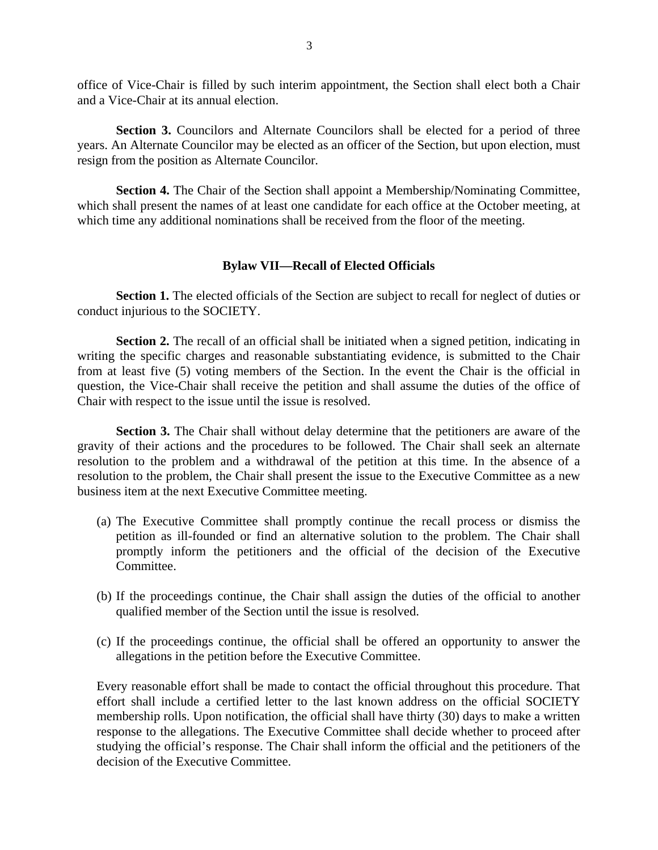office of Vice-Chair is filled by such interim appointment, the Section shall elect both a Chair and a Vice-Chair at its annual election.

 **Section 3.** Councilors and Alternate Councilors shall be elected for a period of three years. An Alternate Councilor may be elected as an officer of the Section, but upon election, must resign from the position as Alternate Councilor.

**Section 4.** The Chair of the Section shall appoint a Membership/Nominating Committee, which shall present the names of at least one candidate for each office at the October meeting, at which time any additional nominations shall be received from the floor of the meeting.

#### **Bylaw VII—Recall of Elected Officials**

**Section 1.** The elected officials of the Section are subject to recall for neglect of duties or conduct injurious to the SOCIETY.

**Section 2.** The recall of an official shall be initiated when a signed petition, indicating in writing the specific charges and reasonable substantiating evidence, is submitted to the Chair from at least five (5) voting members of the Section. In the event the Chair is the official in question, the Vice-Chair shall receive the petition and shall assume the duties of the office of Chair with respect to the issue until the issue is resolved.

**Section 3.** The Chair shall without delay determine that the petitioners are aware of the gravity of their actions and the procedures to be followed. The Chair shall seek an alternate resolution to the problem and a withdrawal of the petition at this time. In the absence of a resolution to the problem, the Chair shall present the issue to the Executive Committee as a new business item at the next Executive Committee meeting.

- (a) The Executive Committee shall promptly continue the recall process or dismiss the petition as ill-founded or find an alternative solution to the problem. The Chair shall promptly inform the petitioners and the official of the decision of the Executive Committee.
- (b) If the proceedings continue, the Chair shall assign the duties of the official to another qualified member of the Section until the issue is resolved.
- (c) If the proceedings continue, the official shall be offered an opportunity to answer the allegations in the petition before the Executive Committee.

Every reasonable effort shall be made to contact the official throughout this procedure. That effort shall include a certified letter to the last known address on the official SOCIETY membership rolls. Upon notification, the official shall have thirty (30) days to make a written response to the allegations. The Executive Committee shall decide whether to proceed after studying the official's response. The Chair shall inform the official and the petitioners of the decision of the Executive Committee.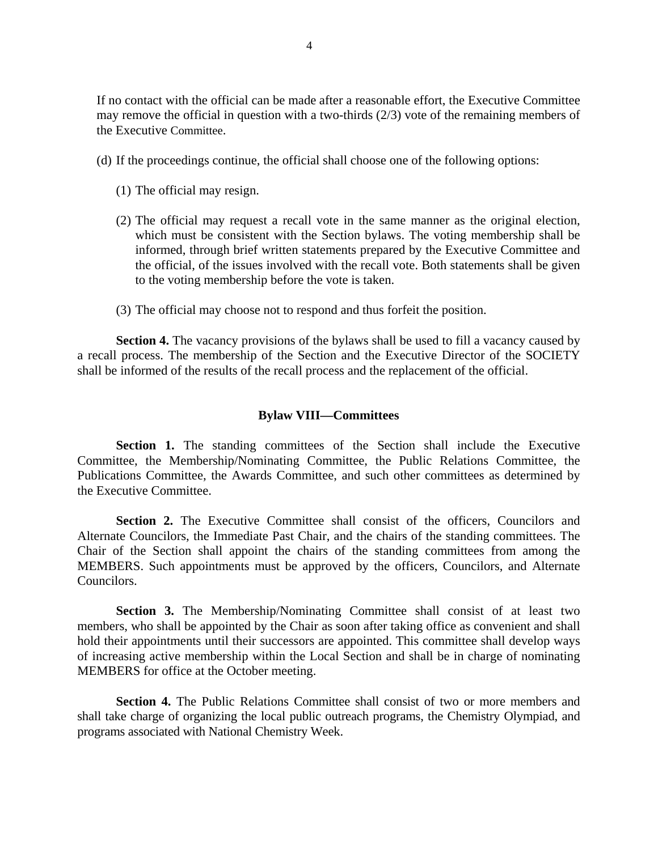If no contact with the official can be made after a reasonable effort, the Executive Committee may remove the official in question with a two-thirds (2/3) vote of the remaining members of the Executive Committee.

- (d) If the proceedings continue, the official shall choose one of the following options:
	- (1) The official may resign.
	- (2) The official may request a recall vote in the same manner as the original election, which must be consistent with the Section bylaws. The voting membership shall be informed, through brief written statements prepared by the Executive Committee and the official, of the issues involved with the recall vote. Both statements shall be given to the voting membership before the vote is taken.
	- (3) The official may choose not to respond and thus forfeit the position.

**Section 4.** The vacancy provisions of the bylaws shall be used to fill a vacancy caused by a recall process. The membership of the Section and the Executive Director of the SOCIETY shall be informed of the results of the recall process and the replacement of the official.

### **Bylaw VIII—Committees**

**Section 1.** The standing committees of the Section shall include the Executive Committee, the Membership/Nominating Committee, the Public Relations Committee, the Publications Committee, the Awards Committee, and such other committees as determined by the Executive Committee.

**Section 2.** The Executive Committee shall consist of the officers. Councilors and Alternate Councilors, the Immediate Past Chair, and the chairs of the standing committees. The Chair of the Section shall appoint the chairs of the standing committees from among the MEMBERS. Such appointments must be approved by the officers, Councilors, and Alternate Councilors.

 **Section 3.** The Membership/Nominating Committee shall consist of at least two members, who shall be appointed by the Chair as soon after taking office as convenient and shall hold their appointments until their successors are appointed. This committee shall develop ways of increasing active membership within the Local Section and shall be in charge of nominating MEMBERS for office at the October meeting.

 **Section 4.** The Public Relations Committee shall consist of two or more members and shall take charge of organizing the local public outreach programs, the Chemistry Olympiad, and programs associated with National Chemistry Week.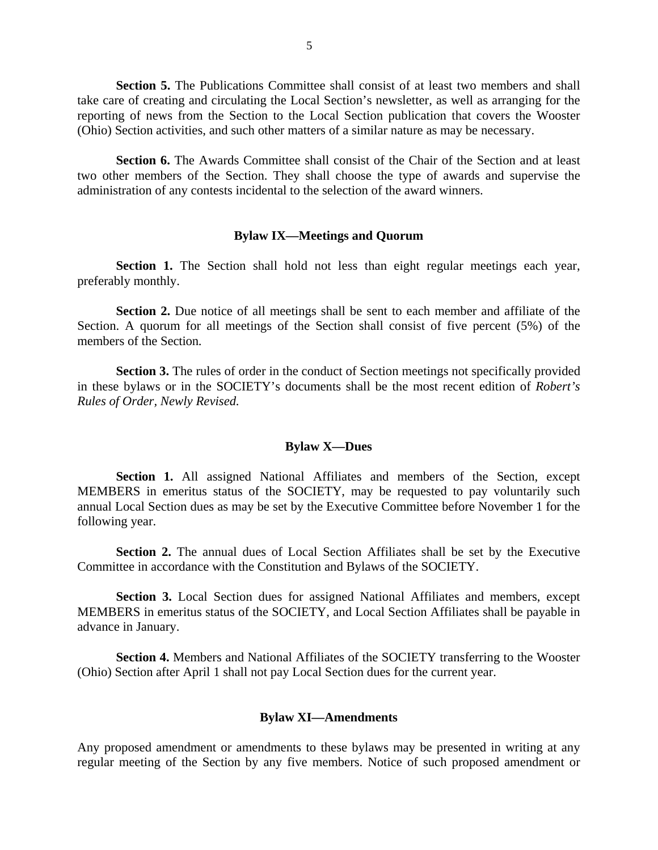**Section 5.** The Publications Committee shall consist of at least two members and shall take care of creating and circulating the Local Section's newsletter, as well as arranging for the reporting of news from the Section to the Local Section publication that covers the Wooster (Ohio) Section activities, and such other matters of a similar nature as may be necessary.

 **Section 6.** The Awards Committee shall consist of the Chair of the Section and at least two other members of the Section. They shall choose the type of awards and supervise the administration of any contests incidental to the selection of the award winners.

#### **Bylaw IX—Meetings and Quorum**

 **Section 1.** The Section shall hold not less than eight regular meetings each year, preferably monthly.

 **Section 2.** Due notice of all meetings shall be sent to each member and affiliate of the Section. A quorum for all meetings of the Section shall consist of five percent (5%) of the members of the Section.

 **Section 3.** The rules of order in the conduct of Section meetings not specifically provided in these bylaws or in the SOCIETY's documents shall be the most recent edition of *Robert's Rules of Order, Newly Revised.*

#### **Bylaw X—Dues**

 **Section 1.** All assigned National Affiliates and members of the Section, except MEMBERS in emeritus status of the SOCIETY, may be requested to pay voluntarily such annual Local Section dues as may be set by the Executive Committee before November 1 for the following year.

 **Section 2.** The annual dues of Local Section Affiliates shall be set by the Executive Committee in accordance with the Constitution and Bylaws of the SOCIETY.

 **Section 3.** Local Section dues for assigned National Affiliates and members, except MEMBERS in emeritus status of the SOCIETY, and Local Section Affiliates shall be payable in advance in January.

**Section 4.** Members and National Affiliates of the SOCIETY transferring to the Wooster (Ohio) Section after April 1 shall not pay Local Section dues for the current year.

#### **Bylaw XI—Amendments**

Any proposed amendment or amendments to these bylaws may be presented in writing at any regular meeting of the Section by any five members. Notice of such proposed amendment or